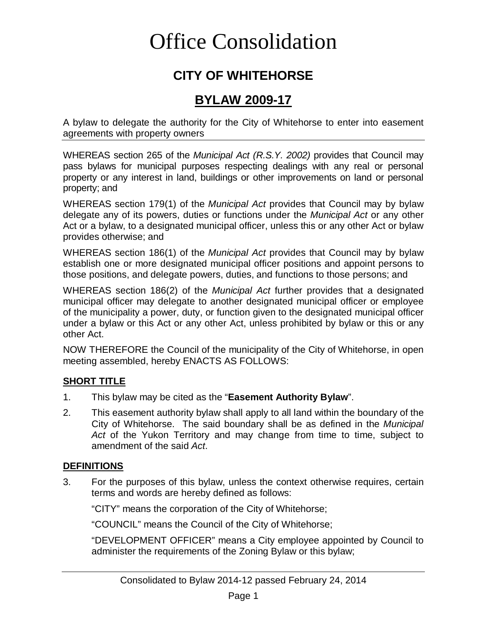# Office Consolidation

## **CITY OF WHITEHORSE**

### **BYLAW 2009-17**

A bylaw to delegate the authority for the City of Whitehorse to enter into easement agreements with property owners

WHEREAS section 265 of the *Municipal Act (R.S.Y. 2002)* provides that Council may pass bylaws for municipal purposes respecting dealings with any real or personal property or any interest in land, buildings or other improvements on land or personal property; and

WHEREAS section 179(1) of the *Municipal Act* provides that Council may by bylaw delegate any of its powers, duties or functions under the *Municipal Act* or any other Act or a bylaw, to a designated municipal officer, unless this or any other Act or bylaw provides otherwise; and

WHEREAS section 186(1) of the *Municipal Act* provides that Council may by bylaw establish one or more designated municipal officer positions and appoint persons to those positions, and delegate powers, duties, and functions to those persons; and

WHEREAS section 186(2) of the *Municipal Act* further provides that a designated municipal officer may delegate to another designated municipal officer or employee of the municipality a power, duty, or function given to the designated municipal officer under a bylaw or this Act or any other Act, unless prohibited by bylaw or this or any other Act.

NOW THEREFORE the Council of the municipality of the City of Whitehorse, in open meeting assembled, hereby ENACTS AS FOLLOWS:

#### **SHORT TITLE**

- 1. This bylaw may be cited as the "**Easement Authority Bylaw**".
- 2. This easement authority bylaw shall apply to all land within the boundary of the City of Whitehorse. The said boundary shall be as defined in the *Municipal Act* of the Yukon Territory and may change from time to time, subject to amendment of the said *Act*.

#### **DEFINITIONS**

3. For the purposes of this bylaw, unless the context otherwise requires, certain terms and words are hereby defined as follows:

"CITY" means the corporation of the City of Whitehorse;

"COUNCIL" means the Council of the City of Whitehorse;

"DEVELOPMENT OFFICER" means a City employee appointed by Council to administer the requirements of the Zoning Bylaw or this bylaw;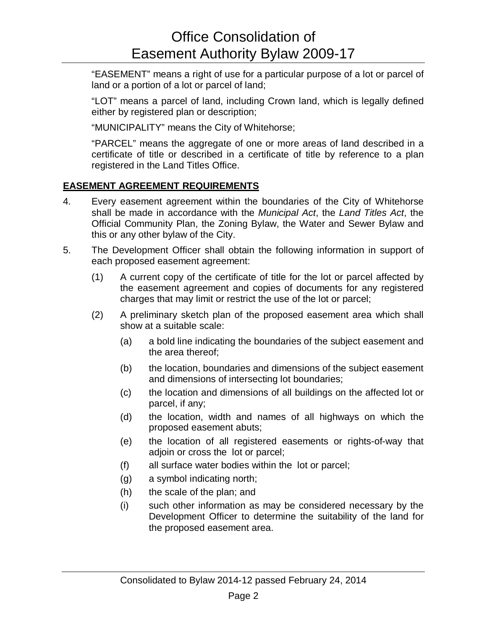"EASEMENT" means a right of use for a particular purpose of a lot or parcel of land or a portion of a lot or parcel of land;

"LOT" means a parcel of land, including Crown land, which is legally defined either by registered plan or description;

"MUNICIPALITY" means the City of Whitehorse;

"PARCEL" means the aggregate of one or more areas of land described in a certificate of title or described in a certificate of title by reference to a plan registered in the Land Titles Office.

#### **EASEMENT AGREEMENT REQUIREMENTS**

- 4. Every easement agreement within the boundaries of the City of Whitehorse shall be made in accordance with the *Municipal Act*, the *Land Titles Act*, the Official Community Plan, the Zoning Bylaw, the Water and Sewer Bylaw and this or any other bylaw of the City.
- 5. The Development Officer shall obtain the following information in support of each proposed easement agreement:
	- (1) A current copy of the certificate of title for the lot or parcel affected by the easement agreement and copies of documents for any registered charges that may limit or restrict the use of the lot or parcel;
	- (2) A preliminary sketch plan of the proposed easement area which shall show at a suitable scale:
		- (a) a bold line indicating the boundaries of the subject easement and the area thereof;
		- (b) the location, boundaries and dimensions of the subject easement and dimensions of intersecting lot boundaries;
		- (c) the location and dimensions of all buildings on the affected lot or parcel, if any;
		- (d) the location, width and names of all highways on which the proposed easement abuts;
		- (e) the location of all registered easements or rights-of-way that adjoin or cross the lot or parcel;
		- (f) all surface water bodies within the lot or parcel;
		- (g) a symbol indicating north;
		- (h) the scale of the plan; and
		- (i) such other information as may be considered necessary by the Development Officer to determine the suitability of the land for the proposed easement area.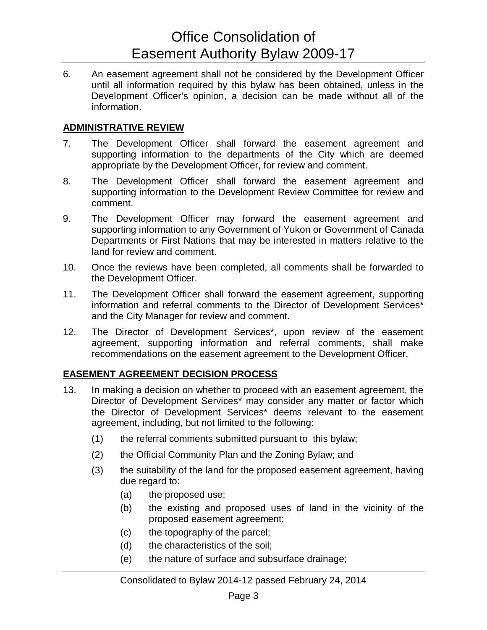## Office Consolidation of Easement Authority Bylaw 2009-17

6. An easement agreement shall not be considered by the Development Officer until all information required by this bylaw has been obtained, unless in the Development Officer's opinion, a decision can be made without all of the information.

#### **ADMINISTRATIVE REVIEW**

- 7. The Development Officer shall forward the easement agreement and supporting information to the departments of the City which are deemed appropriate by the Development Officer, for review and comment.
- 8. The Development Officer shall forward the easement agreement and supporting information to the Development Review Committee for review and comment.
- 9. The Development Officer may forward the easement agreement and supporting information to any Government of Yukon or Government of Canada Departments or First Nations that may be interested in matters relative to the land for review and comment.
- 10. Once the reviews have been completed, all comments shall be forwarded to the Development Officer.
- 11. The Development Officer shall forward the easement agreement, supporting information and referral comments to the Director of Development Services\* and the City Manager for review and comment.
- 12. The Director of Development Services\*, upon review of the easement agreement, supporting information and referral comments, shall make recommendations on the easement agreement to the Development Officer.

#### **EASEMENT AGREEMENT DECISION PROCESS**

- 13. In making a decision on whether to proceed with an easement agreement, the Director of Development Services\* may consider any matter or factor which the Director of Development Services\* deems relevant to the easement agreement, including, but not limited to the following:
	- (1) the referral comments submitted pursuant to this bylaw;
	- (2) the Official Community Plan and the Zoning Bylaw; and
	- (3) the suitability of the land for the proposed easement agreement, having due regard to:
		- (a) the proposed use;
		- (b) the existing and proposed uses of land in the vicinity of the proposed easement agreement;
		- (c) the topography of the parcel;
		- (d) the characteristics of the soil;
		- (e) the nature of surface and subsurface drainage;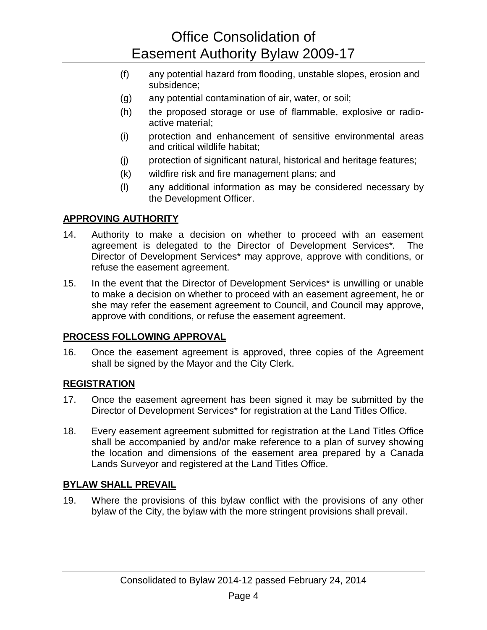## Office Consolidation of Easement Authority Bylaw 2009-17

- (f) any potential hazard from flooding, unstable slopes, erosion and subsidence;
- (g) any potential contamination of air, water, or soil;
- (h) the proposed storage or use of flammable, explosive or radioactive material;
- (i) protection and enhancement of sensitive environmental areas and critical wildlife habitat;
- (j) protection of significant natural, historical and heritage features;
- (k) wildfire risk and fire management plans; and
- (l) any additional information as may be considered necessary by the Development Officer.

#### **APPROVING AUTHORITY**

- 14. Authority to make a decision on whether to proceed with an easement agreement is delegated to the Director of Development Services\**.* The Director of Development Services\* may approve, approve with conditions, or refuse the easement agreement.
- 15. In the event that the Director of Development Services\* is unwilling or unable to make a decision on whether to proceed with an easement agreement, he or she may refer the easement agreement to Council, and Council may approve, approve with conditions, or refuse the easement agreement.

#### **PROCESS FOLLOWING APPROVAL**

16. Once the easement agreement is approved, three copies of the Agreement shall be signed by the Mayor and the City Clerk.

#### **REGISTRATION**

- 17. Once the easement agreement has been signed it may be submitted by the Director of Development Services\* for registration at the Land Titles Office.
- 18. Every easement agreement submitted for registration at the Land Titles Office shall be accompanied by and/or make reference to a plan of survey showing the location and dimensions of the easement area prepared by a Canada Lands Surveyor and registered at the Land Titles Office.

#### **BYLAW SHALL PREVAIL**

19. Where the provisions of this bylaw conflict with the provisions of any other bylaw of the City, the bylaw with the more stringent provisions shall prevail.